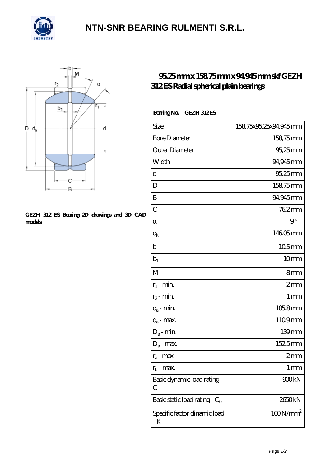

## **[NTN-SNR BEARING RULMENTI S.R.L.](https://m.confidencemenimprov.com)**



#### **[GEZH 312 ES Bearing 2D drawings and 3D CAD](https://m.confidencemenimprov.com/pic-64975038.html) [models](https://m.confidencemenimprov.com/pic-64975038.html)**

### **[95.25 mm x 158.75 mm x 94.945 mm skf GEZH](https://m.confidencemenimprov.com/bs-64975038-skf-gezh-312-es-radial-spherical-plain-bearings.html) [312 ES Radial spherical plain bearings](https://m.confidencemenimprov.com/bs-64975038-skf-gezh-312-es-radial-spherical-plain-bearings.html)**

### Bearing No. GEZH 312 ES

| Size                                | 15875x9525x94945mm |
|-------------------------------------|--------------------|
| <b>Bore Diameter</b>                | 158,75mm           |
| Outer Diameter                      | 95,25mm            |
| Width                               | 94,945mm           |
| d                                   | 95.25mm            |
| D                                   | 15875mm            |
| B                                   | 94945mm            |
| $\overline{C}$                      | 762mm              |
|                                     | $9^{\circ}$        |
| $\rm{d_k}$                          | 14605mm            |
| $\mathbf b$                         | 105mm              |
| $b_1$                               | 10 <sub>mm</sub>   |
| M                                   | 8mm                |
| $r_1$ - min.                        | 2mm                |
| $r_2$ - min.                        | 1 <sub>mm</sub>    |
| $d_a$ - min.                        | 1058mm             |
| $d_a$ - max.                        | 1109mm             |
| $D_a$ - min.                        | 139mm              |
| $D_a$ - max.                        | 1525mm             |
| $r_a$ - max.                        | 2mm                |
| $r_{b}$ - max.                      | 1 mm               |
| Basic dynamic load rating-<br>С     | 900kN              |
| Basic static load rating - $C_0$    | 2650kN             |
| Specific factor dinamic load<br>- K | $100N/mm^2$        |